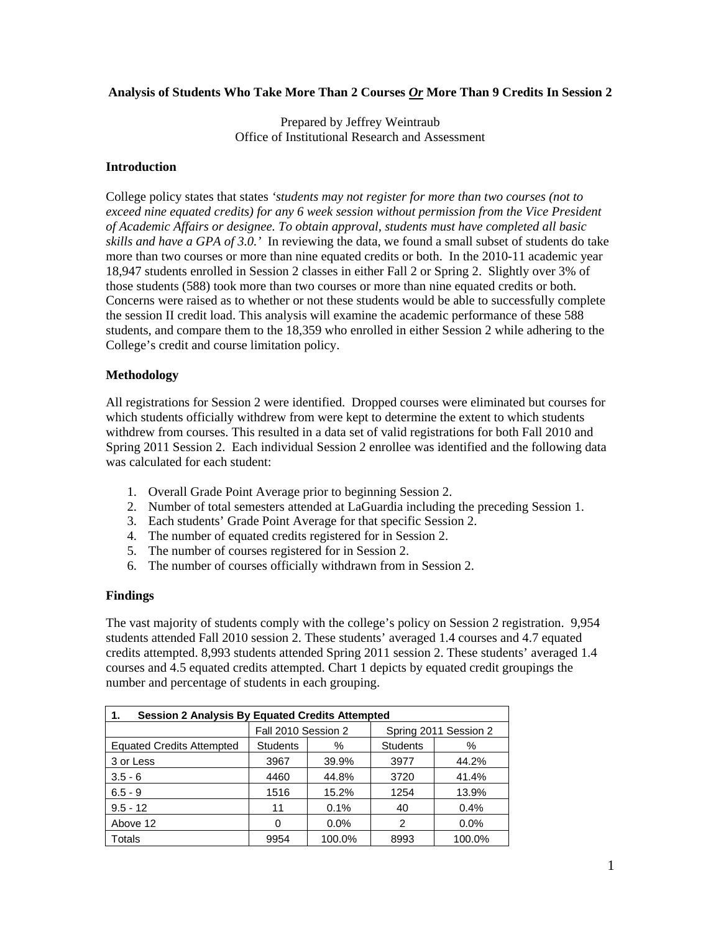## **Analysis of Students Who Take More Than 2 Courses** *Or* **More Than 9 Credits In Session 2**

Prepared by Jeffrey Weintraub Office of Institutional Research and Assessment

## **Introduction**

College policy states that states *'students may not register for more than two courses (not to exceed nine equated credits) for any 6 week session without permission from the Vice President of Academic Affairs or designee. To obtain approval, students must have completed all basic skills and have a GPA of 3.0.'* In reviewing the data, we found a small subset of students do take more than two courses or more than nine equated credits or both. In the 2010-11 academic year 18,947 students enrolled in Session 2 classes in either Fall 2 or Spring 2. Slightly over 3% of those students (588) took more than two courses or more than nine equated credits or both. Concerns were raised as to whether or not these students would be able to successfully complete the session II credit load. This analysis will examine the academic performance of these 588 students, and compare them to the 18,359 who enrolled in either Session 2 while adhering to the College's credit and course limitation policy.

## **Methodology**

All registrations for Session 2 were identified. Dropped courses were eliminated but courses for which students officially withdrew from were kept to determine the extent to which students withdrew from courses. This resulted in a data set of valid registrations for both Fall 2010 and Spring 2011 Session 2. Each individual Session 2 enrollee was identified and the following data was calculated for each student:

- 1. Overall Grade Point Average prior to beginning Session 2.
- 2. Number of total semesters attended at LaGuardia including the preceding Session 1.
- 3. Each students' Grade Point Average for that specific Session 2.
- 4. The number of equated credits registered for in Session 2.
- 5. The number of courses registered for in Session 2.
- 6. The number of courses officially withdrawn from in Session 2.

#### **Findings**

The vast majority of students comply with the college's policy on Session 2 registration. 9,954 students attended Fall 2010 session 2. These students' averaged 1.4 courses and 4.7 equated credits attempted. 8,993 students attended Spring 2011 session 2. These students' averaged 1.4 courses and 4.5 equated credits attempted. Chart 1 depicts by equated credit groupings the number and percentage of students in each grouping.

| <b>Session 2 Analysis By Equated Credits Attempted</b><br>1. |                     |         |                       |         |  |  |  |  |
|--------------------------------------------------------------|---------------------|---------|-----------------------|---------|--|--|--|--|
|                                                              | Fall 2010 Session 2 |         | Spring 2011 Session 2 |         |  |  |  |  |
| <b>Equated Credits Attempted</b>                             | <b>Students</b>     | %       | <b>Students</b>       | %       |  |  |  |  |
| 3 or Less                                                    | 3967                | 39.9%   | 3977                  | 44.2%   |  |  |  |  |
| $3.5 - 6$                                                    | 4460                | 44.8%   | 3720                  | 41.4%   |  |  |  |  |
| $6.5 - 9$                                                    | 1516                | 15.2%   | 1254                  | 13.9%   |  |  |  |  |
| $9.5 - 12$                                                   | 11                  | 0.1%    | 40                    | 0.4%    |  |  |  |  |
| Above 12                                                     | O                   | $0.0\%$ | 2                     | $0.0\%$ |  |  |  |  |
| Totals                                                       | 9954                | 100.0%  | 8993                  | 100.0%  |  |  |  |  |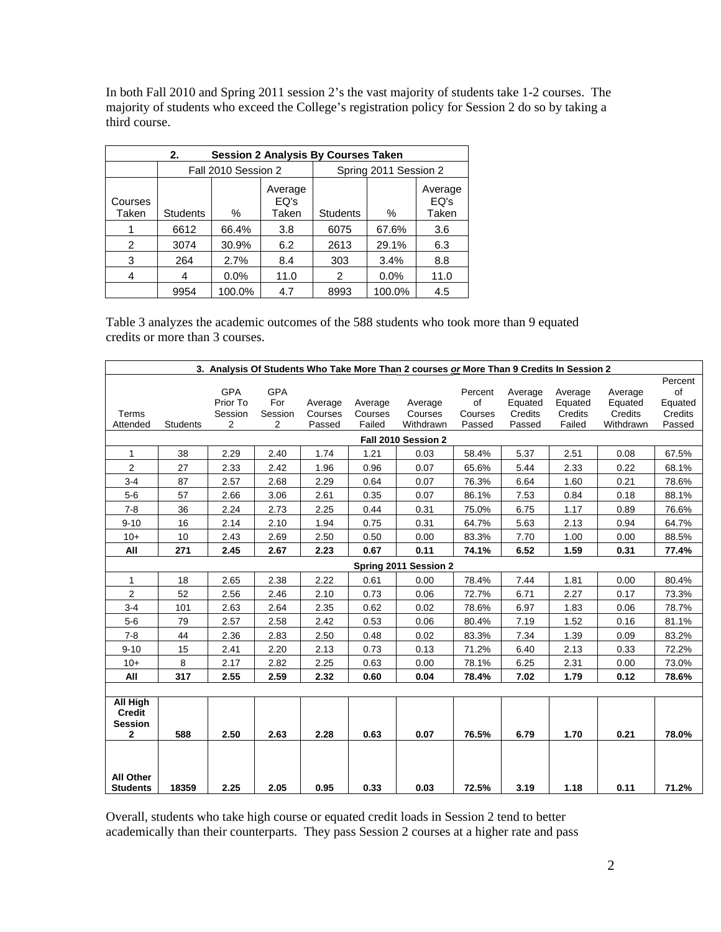In both Fall 2010 and Spring 2011 session 2's the vast majority of students take 1-2 courses. The majority of students who exceed the College's registration policy for Session 2 do so by taking a third course.

| <b>Session 2 Analysis By Courses Taken</b><br>2. |                 |                     |                          |                       |         |                          |  |  |
|--------------------------------------------------|-----------------|---------------------|--------------------------|-----------------------|---------|--------------------------|--|--|
|                                                  |                 | Fall 2010 Session 2 |                          | Spring 2011 Session 2 |         |                          |  |  |
| Courses<br>Taken                                 | <b>Students</b> | ℅                   | Average<br>EQ's<br>Taken | <b>Students</b>       | ℅       | Average<br>EO's<br>Taken |  |  |
|                                                  | 6612            | 66.4%               | 3.8                      | 6075                  | 67.6%   | 3.6                      |  |  |
| 2                                                | 3074            | 30.9%               | 6.2                      | 2613                  | 29.1%   | 6.3                      |  |  |
| 3                                                | 264             | 2.7%                | 8.4                      | 303                   | 3.4%    | 8.8                      |  |  |
| 4                                                | 4               | $0.0\%$             | 11.0                     | 2                     | $0.0\%$ | 11.0                     |  |  |
|                                                  | 9954            | 100.0%              | 4.7                      | 8993                  | 100.0%  | 4.5                      |  |  |

Table 3 analyzes the academic outcomes of the 588 students who took more than 9 equated credits or more than 3 courses.

| 3. Analysis Of Students Who Take More Than 2 courses or More Than 9 Credits In Session 2 |                 |                        |                   |         |         |                       |               |                    |                    |                    |                          |
|------------------------------------------------------------------------------------------|-----------------|------------------------|-------------------|---------|---------|-----------------------|---------------|--------------------|--------------------|--------------------|--------------------------|
|                                                                                          |                 | <b>GPA</b><br>Prior To | <b>GPA</b><br>For | Average | Average | Average               | Percent<br>of | Average<br>Equated | Average<br>Equated | Average<br>Equated | Percent<br>of<br>Equated |
| Terms                                                                                    |                 | Session                | Session           | Courses | Courses | Courses               | Courses       | Credits            | Credits            | Credits            | Credits                  |
| Attended                                                                                 | <b>Students</b> | 2                      | 2                 | Passed  | Failed  | Withdrawn             | Passed        | Passed             | Failed             | Withdrawn          | Passed                   |
| Fall 2010 Session 2                                                                      |                 |                        |                   |         |         |                       |               |                    |                    |                    |                          |
| $\mathbf{1}$                                                                             | 38              | 2.29                   | 2.40              | 1.74    | 1.21    | 0.03                  | 58.4%         | 5.37               | 2.51               | 0.08               | 67.5%                    |
| $\overline{2}$                                                                           | 27              | 2.33                   | 2.42              | 1.96    | 0.96    | 0.07                  | 65.6%         | 5.44               | 2.33               | 0.22               | 68.1%                    |
| $3 - 4$                                                                                  | 87              | 2.57                   | 2.68              | 2.29    | 0.64    | 0.07                  | 76.3%         | 6.64               | 1.60               | 0.21               | 78.6%                    |
| $5-6$                                                                                    | 57              | 2.66                   | 3.06              | 2.61    | 0.35    | 0.07                  | 86.1%         | 7.53               | 0.84               | 0.18               | 88.1%                    |
| $7 - 8$                                                                                  | 36              | 2.24                   | 2.73              | 2.25    | 0.44    | 0.31                  | 75.0%         | 6.75               | 1.17               | 0.89               | 76.6%                    |
| $9 - 10$                                                                                 | 16              | 2.14                   | 2.10              | 1.94    | 0.75    | 0.31                  | 64.7%         | 5.63               | 2.13               | 0.94               | 64.7%                    |
| $10+$                                                                                    | 10              | 2.43                   | 2.69              | 2.50    | 0.50    | 0.00                  | 83.3%         | 7.70               | 1.00               | 0.00               | 88.5%                    |
| All                                                                                      | 271             | 2.45                   | 2.67              | 2.23    | 0.67    | 0.11                  | 74.1%         | 6.52               | 1.59               | 0.31               | 77.4%                    |
|                                                                                          |                 |                        |                   |         |         | Spring 2011 Session 2 |               |                    |                    |                    |                          |
| 1                                                                                        | 18              | 2.65                   | 2.38              | 2.22    | 0.61    | 0.00                  | 78.4%         | 7.44               | 1.81               | 0.00               | 80.4%                    |
| $\overline{2}$                                                                           | 52              | 2.56                   | 2.46              | 2.10    | 0.73    | 0.06                  | 72.7%         | 6.71               | 2.27               | 0.17               | 73.3%                    |
| $3 - 4$                                                                                  | 101             | 2.63                   | 2.64              | 2.35    | 0.62    | 0.02                  | 78.6%         | 6.97               | 1.83               | 0.06               | 78.7%                    |
| $5-6$                                                                                    | 79              | 2.57                   | 2.58              | 2.42    | 0.53    | 0.06                  | 80.4%         | 7.19               | 1.52               | 0.16               | 81.1%                    |
| $7 - 8$                                                                                  | 44              | 2.36                   | 2.83              | 2.50    | 0.48    | 0.02                  | 83.3%         | 7.34               | 1.39               | 0.09               | 83.2%                    |
| $9 - 10$                                                                                 | 15              | 2.41                   | 2.20              | 2.13    | 0.73    | 0.13                  | 71.2%         | 6.40               | 2.13               | 0.33               | 72.2%                    |
| $10+$                                                                                    | 8               | 2.17                   | 2.82              | 2.25    | 0.63    | 0.00                  | 78.1%         | 6.25               | 2.31               | 0.00               | 73.0%                    |
| All                                                                                      | 317             | 2.55                   | 2.59              | 2.32    | 0.60    | 0.04                  | 78.4%         | 7.02               | 1.79               | 0.12               | 78.6%                    |
|                                                                                          |                 |                        |                   |         |         |                       |               |                    |                    |                    |                          |
| All High<br><b>Credit</b><br><b>Session</b>                                              |                 |                        |                   |         |         |                       |               |                    |                    |                    |                          |
| $\mathbf{2}$                                                                             | 588             | 2.50                   | 2.63              | 2.28    | 0.63    | 0.07                  | 76.5%         | 6.79               | 1.70               | 0.21               | 78.0%                    |
| <b>All Other</b><br><b>Students</b>                                                      | 18359           | 2.25                   | 2.05              | 0.95    | 0.33    | 0.03                  | 72.5%         | 3.19               | 1.18               | 0.11               | 71.2%                    |

Overall, students who take high course or equated credit loads in Session 2 tend to better academically than their counterparts. They pass Session 2 courses at a higher rate and pass